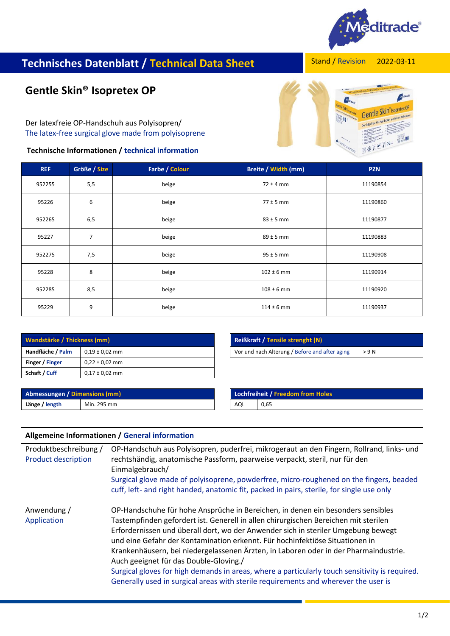

## Stand / Revision **Technisches Datenblatt / Technical Data Sheet**

2022-03-11

## **Gentle Skin® Isopretex OP**

Der latexfreie OP-Handschuh aus Polyisopren/ The latex-free surgical glove made from polyisoprene

## **Technische Informationen / technical information**



| <b>REF</b> | Größe / Size | Farbe / Colour | Breite / Width (mm) | <b>PZN</b> |
|------------|--------------|----------------|---------------------|------------|
| 952255     | 5,5          | beige          | $72 \pm 4$ mm       | 11190854   |
| 95226      | 6            | beige          | $77 \pm 5$ mm       | 11190860   |
| 952265     | 6,5          | beige          | $83 \pm 5$ mm       | 11190877   |
| 95227      | 7            | beige          | $89 \pm 5$ mm       | 11190883   |
| 952275     | 7,5          | beige          | $95 \pm 5$ mm       | 11190908   |
| 95228      | 8            | beige          | $102 \pm 6$ mm      | 11190914   |
| 952285     | 8,5          | beige          | $108 \pm 6$ mm      | 11190920   |
| 95229      | 9            | beige          | $114 \pm 6$ mm      | 11190937   |

| <b>Wandstärke / Thickness (mm)</b> |                    | <b>Reißkraft / Tensile strenght (N)</b>        |      |  |
|------------------------------------|--------------------|------------------------------------------------|------|--|
| Handfläche / Palm                  | $0.19 \pm 0.02$ mm | Vor und nach Alterung / Before and after aging | > 9N |  |
| Finger / Finger                    | $0.22 \pm 0.02$ mm |                                                |      |  |
| Schaft / Cuff                      | $0.17 \pm 0.02$ mm |                                                |      |  |

| Abmessungen / Dimensions (mm) |             | Lochfreiheit / |      |
|-------------------------------|-------------|----------------|------|
| Länge / length                | Min. 295 mm | AQL            | 0.65 |

| <b>Reißkraft / Tensile strenght (N)</b>                      |  |
|--------------------------------------------------------------|--|
| Vor und nach Alterung / Before and after aging $\vert$ > 9 N |  |

**Lochfreiheit / Freedom from Holes** 

## **Allgemeine Informationen / General information**

| Produktbeschreibung /<br><b>Product description</b> | OP-Handschuh aus Polyisopren, puderfrei, mikrogeraut an den Fingern, Rollrand, links- und<br>rechtshändig, anatomische Passform, paarweise verpackt, steril, nur für den<br>Einmalgebrauch/<br>Surgical glove made of polyisoprene, powderfree, micro-roughened on the fingers, beaded |
|-----------------------------------------------------|----------------------------------------------------------------------------------------------------------------------------------------------------------------------------------------------------------------------------------------------------------------------------------------|
|                                                     | cuff, left- and right handed, anatomic fit, packed in pairs, sterile, for single use only                                                                                                                                                                                              |
| Anwendung /                                         | OP-Handschuhe für hohe Ansprüche in Bereichen, in denen ein besonders sensibles                                                                                                                                                                                                        |
| Application                                         | Tastempfinden gefordert ist. Generell in allen chirurgischen Bereichen mit sterilen                                                                                                                                                                                                    |
|                                                     | Erfordernissen und überall dort, wo der Anwender sich in steriler Umgebung bewegt                                                                                                                                                                                                      |
|                                                     | und eine Gefahr der Kontamination erkennt. Für hochinfektiöse Situationen in                                                                                                                                                                                                           |
|                                                     | Krankenhäusern, bei niedergelassenen Ärzten, in Laboren oder in der Pharmaindustrie.<br>Auch geeignet für das Double-Gloving./                                                                                                                                                         |
|                                                     | Surgical gloves for high demands in areas, where a particularly touch sensitivity is required.<br>Generally used in surgical areas with sterile requirements and wherever the user is                                                                                                  |